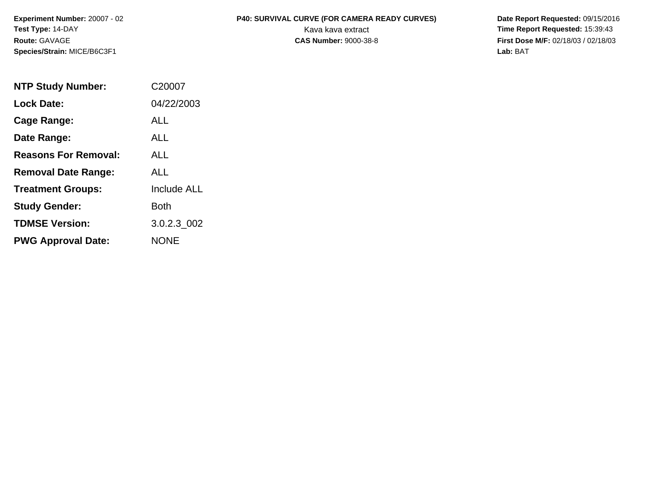**Species/Strain:** MICE/B6C3F1 **Lab:** BAT

## **Experiment Number:** 20007 - 02 **P40: SURVIVAL CURVE (FOR CAMERA READY CURVES) Date Report Requested:** 09/15/2016 **Test Type: 14-DAY The Report Requested: 15:39:43 Kava kava extract <b>Time Report Requested: 15:39:43**

**Route:** GAVAGE **CAS Number:** 9000-38-8 **First Dose M/F:** 02/18/03 / 02/18/03

| <b>NTP Study Number:</b>    | C20007             |
|-----------------------------|--------------------|
| <b>Lock Date:</b>           | 04/22/2003         |
| Cage Range:                 | ALL                |
| Date Range:                 | AI I               |
| <b>Reasons For Removal:</b> | ALL.               |
| <b>Removal Date Range:</b>  | AI I               |
| <b>Treatment Groups:</b>    | <b>Include ALL</b> |
| <b>Study Gender:</b>        | Both               |
| <b>TDMSE Version:</b>       | 3.0.2.3 002        |
| <b>PWG Approval Date:</b>   | <b>NONE</b>        |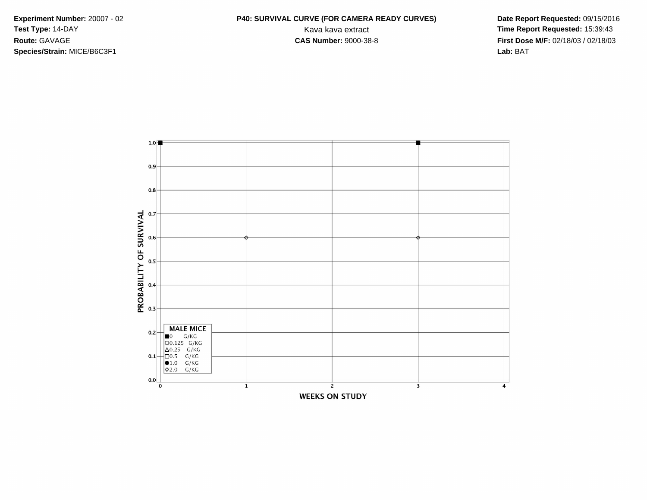**Species/Strain:** MICE/B6C3F1 **Lab:** BAT